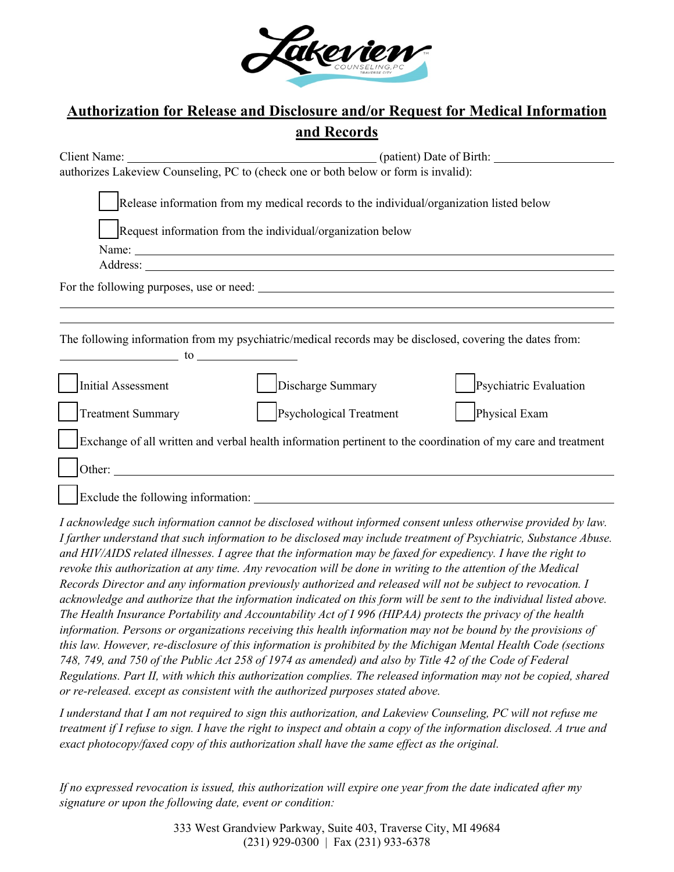

## **Authorization for Release and Disclosure and/or Request for Medical Information and Records**

| authorizes Lakeview Counseling, PC to (check one or both below or form is invalid):                                                                   |                        |  |  |  |
|-------------------------------------------------------------------------------------------------------------------------------------------------------|------------------------|--|--|--|
| Release information from my medical records to the individual/organization listed below<br>Request information from the individual/organization below |                        |  |  |  |
| Name:                                                                                                                                                 |                        |  |  |  |
|                                                                                                                                                       |                        |  |  |  |
|                                                                                                                                                       |                        |  |  |  |
|                                                                                                                                                       |                        |  |  |  |
|                                                                                                                                                       |                        |  |  |  |
| The following information from my psychiatric/medical records may be disclosed, covering the dates from:<br>$\sim$ to $\sim$                          |                        |  |  |  |
| <b>Initial Assessment</b><br>Discharge Summary                                                                                                        | Psychiatric Evaluation |  |  |  |
| Psychological Treatment<br><b>Treatment Summary</b>                                                                                                   | Physical Exam          |  |  |  |
| Exchange of all written and verbal health information pertinent to the coordination of my care and treatment                                          |                        |  |  |  |
| Other:                                                                                                                                                |                        |  |  |  |
| Exclude the following information:                                                                                                                    |                        |  |  |  |

*I acknowledge such information cannot be disclosed without informed consent unless otherwise provided by law. I farther understand that such information to be disclosed may include treatment of Psychiatric, Substance Abuse. and HIV/AIDS related illnesses. I agree that the information may be faxed for expediency. I have the right to revoke this authorization at any time. Any revocation will be done in writing to the attention of the Medical Records Director and any information previously authorized and released will not be subject to revocation. I acknowledge and authorize that the information indicated on this form will be sent to the individual listed above. The Health Insurance Portability and Accountability Act of I 996 (HIPAA) protects the privacy of the health information. Persons or organizations receiving this health information may not be bound by the provisions of this law. However, re-disclosure of this information is prohibited by the Michigan Mental Health Code (sections 748, 749, and 750 of the Public Act 258 of 1974 as amended) and also by Title 42 of the Code of Federal Regulations. Part II, with which this authorization complies. The released information may not be copied, shared or re-released. except as consistent with the authorized purposes stated above.*

*I understand that I am not required to sign this authorization, and Lakeview Counseling, PC will not refuse me treatment if I refuse to sign. I have the right to inspect and obtain a copy of the information disclosed. A true and exact photocopy/faxed copy of this authorization shall have the same effect as the original.*

*If no expressed revocation is issued, this authorization will expire one year from the date indicated after my signature or upon the following date, event or condition:*